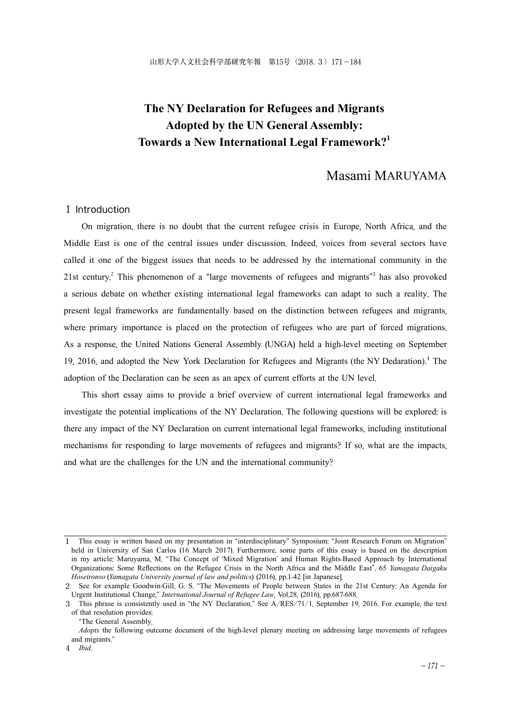# **The NY Declaration for Refugees and Migrants Adopted by the UN General Assembly: Towards a New International Legal Framework?1**

# Masami MARUYAMA

# Ⅰ Introduction

On migration, there is no doubt that the current refugee crisis in Europe, North Africa, and the Middle East is one of the central issues under discussion. Indeed, voices from several sectors have called it one of the biggest issues that needs to be addressed by the international community in the 21st century.<sup>2</sup> This phenomenon of a "large movements of refugees and migrants" has also provoked a serious debate on whether existing international legal frameworks can adapt to such a reality. The present legal frameworks are fundamentally based on the distinction between refugees and migrants, where primary importance is placed on the protection of refugees who are part of forced migrations. As a response, the United Nations General Assembly (UNGA) held a high-level meeting on September 19, 2016, and adopted the New York Declaration for Refugees and Migrants (the NY Dedaration).<sup>4</sup> The adoption of the Declaration can be seen as an apex of current efforts at the UN level.

This short essay aims to provide a brief overview of current international legal frameworks and investigate the potential implications of the NY Declaration. The following questions will be explored: is there any impact of the NY Declaration on current international legal frameworks, including institutional mechanisms for responding to large movements of refugees and migrants? If so, what are the impacts, and what are the challenges for the UN and the international community?

<sup>1</sup> This essay is written based on my presentation in "interdisciplinary" Symposium: "Joint Research Forum on Migration" held in University of San Carlos (16 March 2017). Furthermore, some parts of this essay is based on the description in my article: Maruyama, M. "The Concept of 'Mixed Migration' and Human Rights-Based Approach by International Organizations: Some Reflections on the Refugee Crisis in the North Africa and the Middle East", 65 *Yamagata Daigaku Hoseironso* (*Yamagata University journal of law and politics*) (2016), pp.1-42 [in Japanese].

<sup>2</sup> See for example Goodwin-Gill, G. S. "The Movements of People between States in the 21st Century: An Agenda for Urgent Institutional Change," *International Journal of Refugee Law*, Vol.28, (2016), pp.687-688.

<sup>3</sup> This phrase is consistently used in "the NY Declaration." See A/RES/71/1, September 19, 2016. For example, the text of that resolution provides:

 <sup>&</sup>quot;The General Assembly,

*Adopts* the following outcome document of the high-level plenary meeting on addressing large movements of refugees and migrants."

<sup>4</sup> *Ibid*.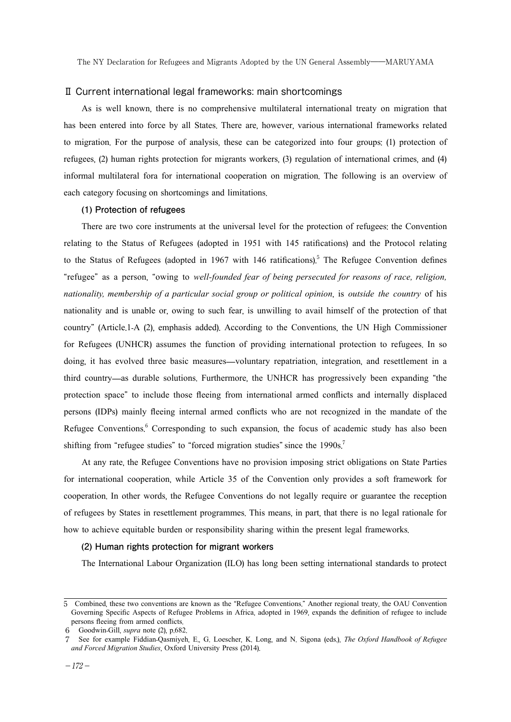#### Ⅱ Current international legal frameworks: main shortcomings

As is well known, there is no comprehensive multilateral international treaty on migration that has been entered into force by all States. There are, however, various international frameworks related to migration. For the purpose of analysis, these can be categorized into four groups: (1) protection of refugees, (2) human rights protection for migrants workers, (3) regulation of international crimes, and (4) informal multilateral fora for international cooperation on migration. The following is an overview of each category focusing on shortcomings and limitations.

# **(1) Protection of refugees**

There are two core instruments at the universal level for the protection of refugees: the Convention relating to the Status of Refugees (adopted in 1951 with 145 ratifications) and the Protocol relating to the Status of Refugees (adopted in 1967 with 146 ratifications).<sup>5</sup> The Refugee Convention defines "refugee" as a person, "owing to *well-founded fear of being persecuted for reasons of race, religion, nationality, membership of a particular social group or political opinion*, is *outside the country* of his nationality and is unable or, owing to such fear, is unwilling to avail himself of the protection of that country" (Article.1-A (2), emphasis added). According to the Conventions, the UN High Commissioner for Refugees (UNHCR) assumes the function of providing international protection to refugees. In so doing, it has evolved three basic measures—voluntary repatriation, integration, and resettlement in a third country—as durable solutions. Furthermore, the UNHCR has progressively been expanding "the protection space" to include those fleeing from international armed conflicts and internally displaced persons (IDPs) mainly fleeing internal armed conflicts who are not recognized in the mandate of the Refugee Conventions. <sup>6</sup> Corresponding to such expansion, the focus of academic study has also been shifting from "refugee studies" to "forced migration studies" since the 1990s.<sup>7</sup>

At any rate, the Refugee Conventions have no provision imposing strict obligations on State Parties for international cooperation, while Article 35 of the Convention only provides a soft framework for cooperation. In other words, the Refugee Conventions do not legally require or guarantee the reception of refugees by States in resettlement programmes. This means, in part, that there is no legal rationale for how to achieve equitable burden or responsibility sharing within the present legal frameworks.

### **(2) Human rights protection for migrant workers**

The International Labour Organization (ILO) has long been setting international standards to protect

<sup>5</sup> Combined, these two conventions are known as the "Refugee Conventions." Another regional treaty, the OAU Convention Governing Specific Aspects of Refugee Problems in Africa, adopted in 1969, expands the definition of refugee to include persons fleeing from armed conflicts.

<sup>6</sup> Goodwin-Gill, *supra* note (2), p.682.

<sup>7</sup> See for example Fiddian-Qasmiyeh, E., G. Loescher, K. Long, and N. Sigona (eds.), *The Oxford Handbook of Refugee and Forced Migration Studies*, Oxford University Press (2014).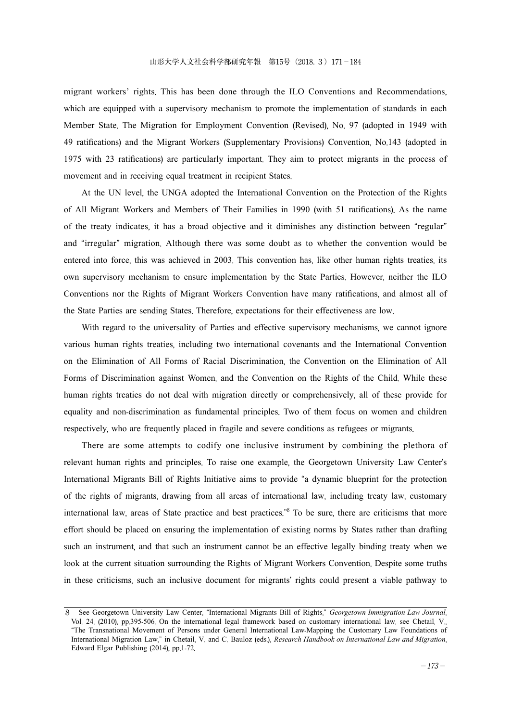migrant workers' rights. This has been done through the ILO Conventions and Recommendations, which are equipped with a supervisory mechanism to promote the implementation of standards in each Member State. The Migration for Employment Convention (Revised), No. 97 (adopted in 1949 with 49 ratifications) and the Migrant Workers (Supplementary Provisions) Convention, No.143 (adopted in 1975 with 23 ratifications) are particularly important. They aim to protect migrants in the process of movement and in receiving equal treatment in recipient States.

At the UN level, the UNGA adopted the International Convention on the Protection of the Rights of All Migrant Workers and Members of Their Families in 1990 (with 51 ratifications). As the name of the treaty indicates, it has a broad objective and it diminishes any distinction between "regular" and "irregular" migration. Although there was some doubt as to whether the convention would be entered into force, this was achieved in 2003. This convention has, like other human rights treaties, its own supervisory mechanism to ensure implementation by the State Parties. However, neither the ILO Conventions nor the Rights of Migrant Workers Convention have many ratifications, and almost all of the State Parties are sending States. Therefore, expectations for their effectiveness are low.

With regard to the universality of Parties and effective supervisory mechanisms, we cannot ignore various human rights treaties, including two international covenants and the International Convention on the Elimination of All Forms of Racial Discrimination, the Convention on the Elimination of All Forms of Discrimination against Women, and the Convention on the Rights of the Child. While these human rights treaties do not deal with migration directly or comprehensively, all of these provide for equality and non-discrimination as fundamental principles. Two of them focus on women and children respectively, who are frequently placed in fragile and severe conditions as refugees or migrants.

There are some attempts to codify one inclusive instrument by combining the plethora of relevant human rights and principles. To raise one example, the Georgetown University Law Center's International Migrants Bill of Rights Initiative aims to provide "a dynamic blueprint for the protection of the rights of migrants, drawing from all areas of international law, including treaty law, customary international law, areas of State practice and best practices."8 To be sure, there are criticisms that more effort should be placed on ensuring the implementation of existing norms by States rather than drafting such an instrument, and that such an instrument cannot be an effective legally binding treaty when we look at the current situation surrounding the Rights of Migrant Workers Convention. Despite some truths in these criticisms, such an inclusive document for migrants' rights could present a viable pathway to

<sup>8</sup> See Georgetown University Law Center, "International Migrants Bill of Rights," *Georgetown Immigration Law Journal*, Vol. 24, (2010), pp.395-506. On the international legal framework based on customary international law, see Chetail, V., "The Transnational Movement of Persons under General International Law-Mapping the Customary Law Foundations of International Migration Law," in Chetail, V. and C. Bauloz (eds.), *Research Handbook on International Law and Migration*, Edward Elgar Publishing (2014), pp.1-72.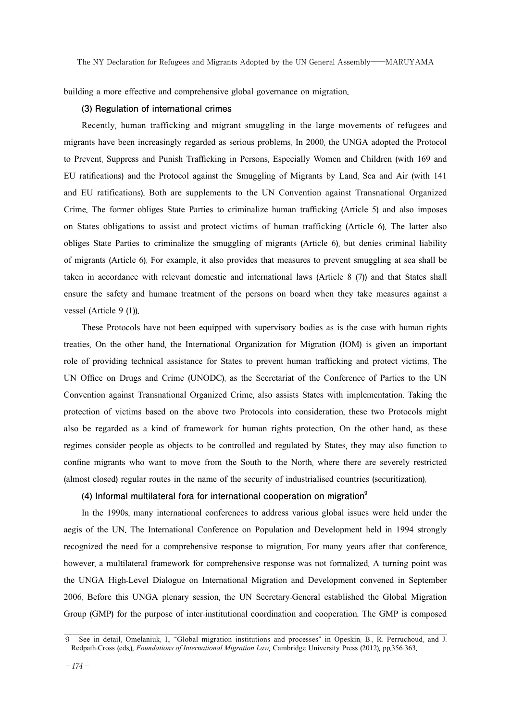building a more effective and comprehensive global governance on migration.

#### **(3) Regulation of international crimes**

Recently, human trafficking and migrant smuggling in the large movements of refugees and migrants have been increasingly regarded as serious problems. In 2000, the UNGA adopted the Protocol to Prevent, Suppress and Punish Trafficking in Persons, Especially Women and Children (with 169 and EU ratifications) and the Protocol against the Smuggling of Migrants by Land, Sea and Air (with 141 and EU ratifications). Both are supplements to the UN Convention against Transnational Organized Crime. The former obliges State Parties to criminalize human trafficking (Article 5) and also imposes on States obligations to assist and protect victims of human trafficking (Article 6). The latter also obliges State Parties to criminalize the smuggling of migrants (Article 6), but denies criminal liability of migrants (Article 6). For example, it also provides that measures to prevent smuggling at sea shall be taken in accordance with relevant domestic and international laws (Article 8 (7)) and that States shall ensure the safety and humane treatment of the persons on board when they take measures against a vessel (Article 9 (1)).

These Protocols have not been equipped with supervisory bodies as is the case with human rights treaties. On the other hand, the International Organization for Migration (IOM) is given an important role of providing technical assistance for States to prevent human trafficking and protect victims. The UN Office on Drugs and Crime (UNODC), as the Secretariat of the Conference of Parties to the UN Convention against Transnational Organized Crime, also assists States with implementation. Taking the protection of victims based on the above two Protocols into consideration, these two Protocols might also be regarded as a kind of framework for human rights protection. On the other hand, as these regimes consider people as objects to be controlled and regulated by States, they may also function to confine migrants who want to move from the South to the North, where there are severely restricted (almost closed) regular routes in the name of the security of industrialised countries (securitization).

### **(4) Informal multilateral fora for international cooperation on migration9**

In the 1990s, many international conferences to address various global issues were held under the aegis of the UN. The International Conference on Population and Development held in 1994 strongly recognized the need for a comprehensive response to migration. For many years after that conference, however, a multilateral framework for comprehensive response was not formalized. A turning point was the UNGA High-Level Dialogue on International Migration and Development convened in September 2006. Before this UNGA plenary session, the UN Secretary-General established the Global Migration Group (GMP) for the purpose of inter-institutional coordination and cooperation. The GMP is composed

<sup>9</sup> See in detail, Omelaniuk, I., "Global migration institutions and processes" in Opeskin, B., R. Perruchoud, and J. Redpath-Cross (eds.), *Foundations of International Migration Law*, Cambridge University Press (2012), pp.356-363.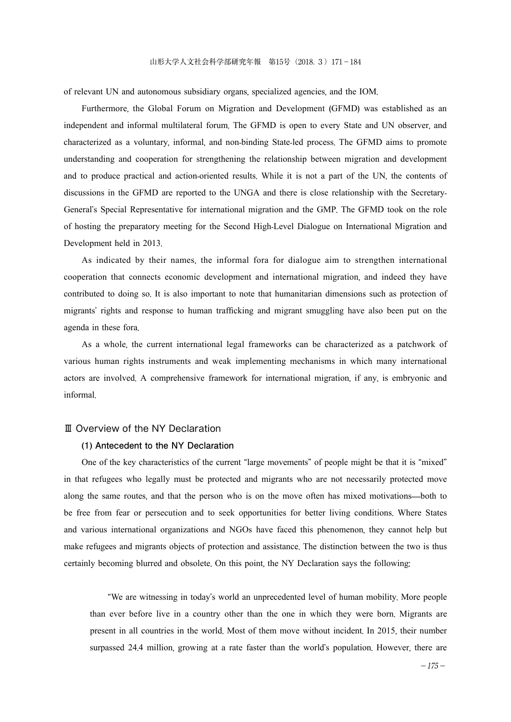of relevant UN and autonomous subsidiary organs, specialized agencies, and the IOM.

Furthermore, the Global Forum on Migration and Development (GFMD) was established as an independent and informal multilateral forum. The GFMD is open to every State and UN observer, and characterized as a voluntary, informal, and non-binding State-led process. The GFMD aims to promote understanding and cooperation for strengthening the relationship between migration and development and to produce practical and action-oriented results. While it is not a part of the UN, the contents of discussions in the GFMD are reported to the UNGA and there is close relationship with the Secretary-General's Special Representative for international migration and the GMP. The GFMD took on the role of hosting the preparatory meeting for the Second High-Level Dialogue on International Migration and Development held in 2013.

As indicated by their names, the informal fora for dialogue aim to strengthen international cooperation that connects economic development and international migration, and indeed they have contributed to doing so. It is also important to note that humanitarian dimensions such as protection of migrants' rights and response to human trafficking and migrant smuggling have also been put on the agenda in these fora.

As a whole, the current international legal frameworks can be characterized as a patchwork of various human rights instruments and weak implementing mechanisms in which many international actors are involved. A comprehensive framework for international migration, if any, is embryonic and informal.

### Ⅲ Overview of the NY Declaration

#### **(1) Antecedent to the NY Declaration**

One of the key characteristics of the current "large movements" of people might be that it is "mixed" in that refugees who legally must be protected and migrants who are not necessarily protected move along the same routes, and that the person who is on the move often has mixed motivations—both to be free from fear or persecution and to seek opportunities for better living conditions. Where States and various international organizations and NGOs have faced this phenomenon, they cannot help but make refugees and migrants objects of protection and assistance. The distinction between the two is thus certainly becoming blurred and obsolete. On this point, the NY Declaration says the following:

"We are witnessing in today's world an unprecedented level of human mobility. More people than ever before live in a country other than the one in which they were born. Migrants are present in all countries in the world. Most of them move without incident. In 2015, their number surpassed 24.4 million, growing at a rate faster than the world's population. However, there are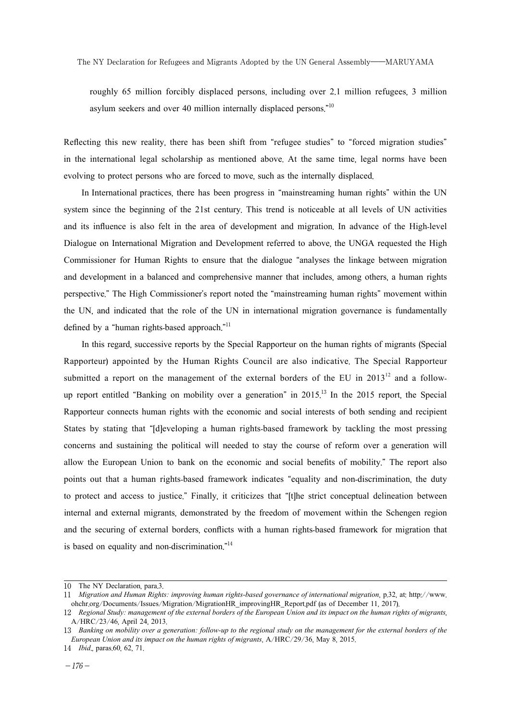The NY Declaration for Refugees and Migrants Adopted by the UN General Assembly――MARUYAMA

roughly 65 million forcibly displaced persons, including over 2.1 million refugees, 3 million asylum seekers and over 40 million internally displaced persons."10

Reflecting this new reality, there has been shift from "refugee studies" to "forced migration studies" in the international legal scholarship as mentioned above. At the same time, legal norms have been evolving to protect persons who are forced to move, such as the internally displaced.

In International practices, there has been progress in "mainstreaming human rights" within the UN system since the beginning of the 21st century. This trend is noticeable at all levels of UN activities and its influence is also felt in the area of development and migration. In advance of the High-level Dialogue on International Migration and Development referred to above, the UNGA requested the High Commissioner for Human Rights to ensure that the dialogue "analyses the linkage between migration and development in a balanced and comprehensive manner that includes, among others, a human rights perspective." The High Commissioner's report noted the "mainstreaming human rights" movement within the UN, and indicated that the role of the UN in international migration governance is fundamentally defined by a "human rights-based approach."<sup>11</sup>

In this regard, successive reports by the Special Rapporteur on the human rights of migrants (Special Rapporteur) appointed by the Human Rights Council are also indicative. The Special Rapporteur submitted a report on the management of the external borders of the EU in  $2013^{12}$  and a followup report entitled "Banking on mobility over a generation" in 2015. <sup>13</sup> In the 2015 report, the Special Rapporteur connects human rights with the economic and social interests of both sending and recipient States by stating that "[d]eveloping a human rights-based framework by tackling the most pressing concerns and sustaining the political will needed to stay the course of reform over a generation will allow the European Union to bank on the economic and social benefits of mobility." The report also points out that a human rights-based framework indicates "equality and non-discrimination, the duty to protect and access to justice." Finally, it criticizes that "[t]he strict conceptual delineation between internal and external migrants, demonstrated by the freedom of movement within the Schengen region and the securing of external borders, conflicts with a human rights-based framework for migration that is based on equality and non-discrimination."<sup>14</sup>

<sup>10</sup> The NY Declaration, para.3.

<sup>11</sup> *Migration and Human Rights: improving human rights-based governance of international migration*, p.32, at: http://www. ohchr.org/Documents/Issues/Migration/MigrationHR\_improvingHR\_Report.pdf (as of December 11, 2017).

<sup>12</sup> *Regional Study: management of the external borders of the European Union and its impact on the human rights of migrants*, A/HRC/23/46, April 24, 2013.

<sup>13</sup> *Banking on mobility over a generation: follow-up to the regional study on the management for the external borders of the European Union and its impact on the human rights of migrants*, A/HRC/29/36, May 8, 2015.

<sup>14</sup> *Ibid*., paras.60, 62, 71.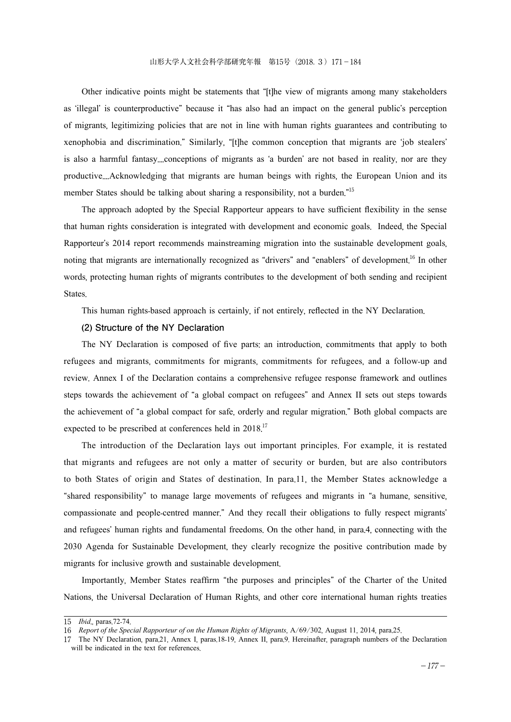Other indicative points might be statements that "[t]he view of migrants among many stakeholders as 'illegal' is counterproductive" because it "has also had an impact on the general public's perception of migrants, legitimizing policies that are not in line with human rights guarantees and contributing to xenophobia and discrimination." Similarly, "[t]he common conception that migrants are 'job stealers' is also a harmful fantasy....conceptions of migrants as 'a burden' are not based in reality, nor are they productive....Acknowledging that migrants are human beings with rights, the European Union and its member States should be talking about sharing a responsibility, not a burden.<sup>"15</sup>

The approach adopted by the Special Rapporteur appears to have sufficient flexibility in the sense that human rights consideration is integrated with development and economic goals. Indeed, the Special Rapporteur's 2014 report recommends mainstreaming migration into the sustainable development goals, noting that migrants are internationally recognized as "drivers" and "enablers" of development. <sup>16</sup> In other words, protecting human rights of migrants contributes to the development of both sending and recipient States.

This human rights-based approach is certainly, if not entirely, reflected in the NY Declaration.

## **(2) Structure of the NY Declaration**

The NY Declaration is composed of five parts: an introduction, commitments that apply to both refugees and migrants, commitments for migrants, commitments for refugees, and a follow-up and review. Annex I of the Declaration contains a comprehensive refugee response framework and outlines steps towards the achievement of "a global compact on refugees" and Annex II sets out steps towards the achievement of "a global compact for safe, orderly and regular migration." Both global compacts are expected to be prescribed at conferences held in 2018.<sup>17</sup>

The introduction of the Declaration lays out important principles. For example, it is restated that migrants and refugees are not only a matter of security or burden, but are also contributors to both States of origin and States of destination. In para.11, the Member States acknowledge a "shared responsibility" to manage large movements of refugees and migrants in "a humane, sensitive, compassionate and people-centred manner." And they recall their obligations to fully respect migrants' and refugees' human rights and fundamental freedoms. On the other hand, in para.4, connecting with the 2030 Agenda for Sustainable Development, they clearly recognize the positive contribution made by migrants for inclusive growth and sustainable development.

Importantly, Member States reaffirm "the purposes and principles" of the Charter of the United Nations, the Universal Declaration of Human Rights, and other core international human rights treaties

<sup>15</sup> *Ibid*., paras.72-74.

<sup>16</sup> *Report of the Special Rapporteur of on the Human Rights of Migrants*, A/69/302, August 11, 2014, para.25.

<sup>17</sup> The NY Declaration, para.21, Annex I, paras.18-19, Annex II, para.9. Hereinafter, paragraph numbers of the Declaration will be indicated in the text for references.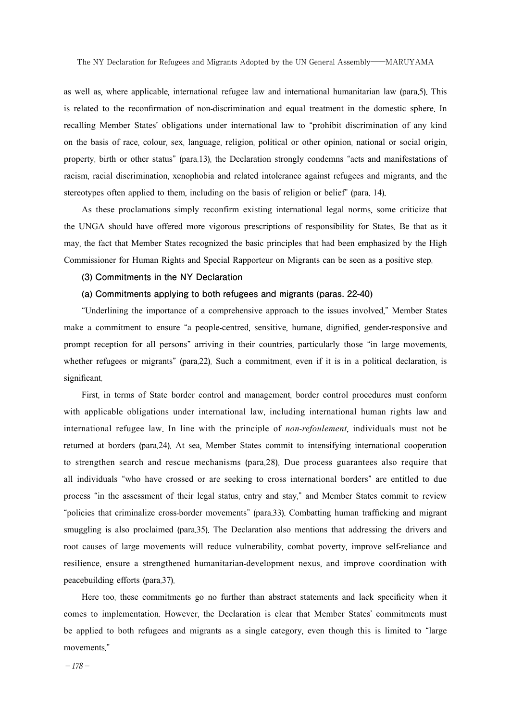The NY Declaration for Refugees and Migrants Adopted by the UN General Assembly――MARUYAMA

as well as, where applicable, international refugee law and international humanitarian law (para.5). This is related to the reconfirmation of non-discrimination and equal treatment in the domestic sphere. In recalling Member States' obligations under international law to "prohibit discrimination of any kind on the basis of race, colour, sex, language, religion, political or other opinion, national or social origin, property, birth or other status" (para.13), the Declaration strongly condemns "acts and manifestations of racism, racial discrimination, xenophobia and related intolerance against refugees and migrants, and the stereotypes often applied to them, including on the basis of religion or belief" (para. 14).

As these proclamations simply reconfirm existing international legal norms, some criticize that the UNGA should have offered more vigorous prescriptions of responsibility for States. Be that as it may, the fact that Member States recognized the basic principles that had been emphasized by the High Commissioner for Human Rights and Special Rapporteur on Migrants can be seen as a positive step.

#### **(3) Commitments in the NY Declaration**

#### **(a) Commitments applying to both refugees and migrants (paras. 22-40)**

"Underlining the importance of a comprehensive approach to the issues involved," Member States make a commitment to ensure "a people-centred, sensitive, humane, dignified, gender-responsive and prompt reception for all persons" arriving in their countries, particularly those "in large movements, whether refugees or migrants" (para.22). Such a commitment, even if it is in a political declaration, is significant.

First, in terms of State border control and management, border control procedures must conform with applicable obligations under international law, including international human rights law and international refugee law. In line with the principle of *non*-*refoulement*, individuals must not be returned at borders (para.24). At sea, Member States commit to intensifying international cooperation to strengthen search and rescue mechanisms (para.28). Due process guarantees also require that all individuals "who have crossed or are seeking to cross international borders" are entitled to due process "in the assessment of their legal status, entry and stay," and Member States commit to review "policies that criminalize cross-border movements" (para.33). Combatting human trafficking and migrant smuggling is also proclaimed (para.35). The Declaration also mentions that addressing the drivers and root causes of large movements will reduce vulnerability, combat poverty, improve self-reliance and resilience, ensure a strengthened humanitarian-development nexus, and improve coordination with peacebuilding efforts (para.37).

Here too, these commitments go no further than abstract statements and lack specificity when it comes to implementation. However, the Declaration is clear that Member States' commitments must be applied to both refugees and migrants as a single category, even though this is limited to "large movements."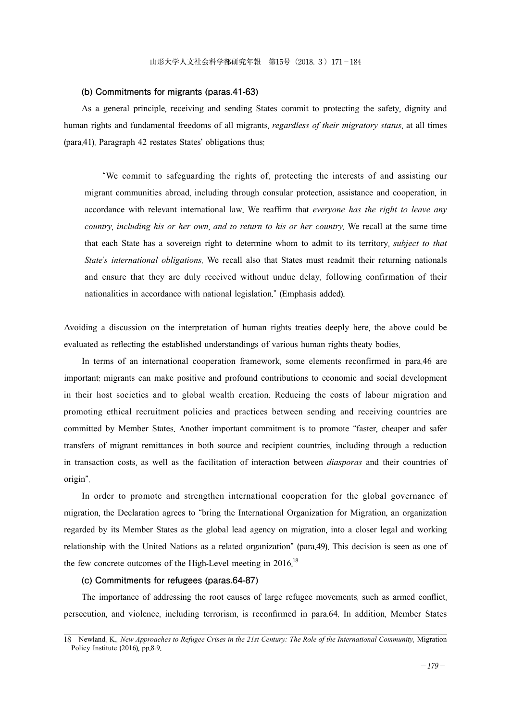#### **(b) Commitments for migrants (paras.41-63)**

As a general principle, receiving and sending States commit to protecting the safety, dignity and human rights and fundamental freedoms of all migrants, *regardless of their migratory status*, at all times (para.41). Paragraph 42 restates States' obligations thus:

"We commit to safeguarding the rights of, protecting the interests of and assisting our migrant communities abroad, including through consular protection, assistance and cooperation, in accordance with relevant international law. We reaffirm that *everyone has the right to leave any country*, *including his or her own*, *and to return to his or her country*. We recall at the same time that each State has a sovereign right to determine whom to admit to its territory, *subject to that State*'*s international obligations*. We recall also that States must readmit their returning nationals and ensure that they are duly received without undue delay, following confirmation of their nationalities in accordance with national legislation." (Emphasis added).

Avoiding a discussion on the interpretation of human rights treaties deeply here, the above could be evaluated as reflecting the established understandings of various human rights theaty bodies.

In terms of an international cooperation framework, some elements reconfirmed in para.46 are important: migrants can make positive and profound contributions to economic and social development in their host societies and to global wealth creation. Reducing the costs of labour migration and promoting ethical recruitment policies and practices between sending and receiving countries are committed by Member States. Another important commitment is to promote "faster, cheaper and safer transfers of migrant remittances in both source and recipient countries, including through a reduction in transaction costs, as well as the facilitation of interaction between *diasporas* and their countries of origin".

In order to promote and strengthen international cooperation for the global governance of migration, the Declaration agrees to "bring the International Organization for Migration, an organization regarded by its Member States as the global lead agency on migration, into a closer legal and working relationship with the United Nations as a related organization" (para.49). This decision is seen as one of the few concrete outcomes of the High-Level meeting in  $2016$ <sup>18</sup>

# **(c) Commitments for refugees (paras.64-87)**

The importance of addressing the root causes of large refugee movements, such as armed conflict, persecution, and violence, including terrorism, is reconfirmed in para.64. In addition, Member States

<sup>18</sup> Newland, K., *New Approaches to Refugee Crises in the 21st Century: The Role of the International Community*, Migration Policy Institute (2016), pp.8-9.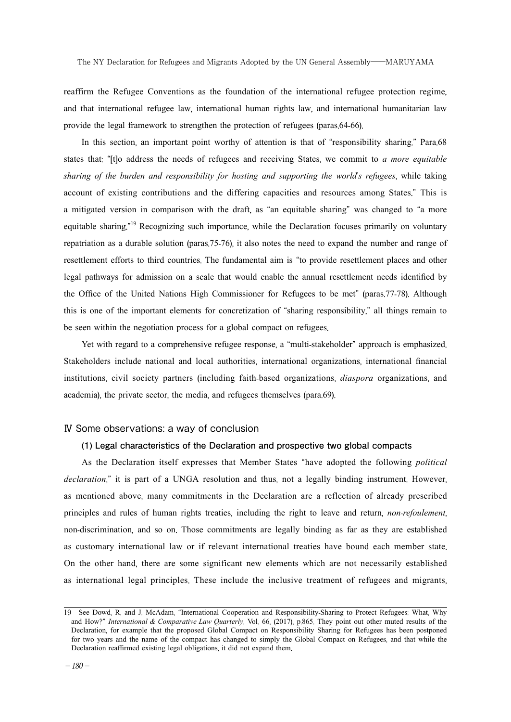reaffirm the Refugee Conventions as the foundation of the international refugee protection regime, and that international refugee law, international human rights law, and international humanitarian law provide the legal framework to strengthen the protection of refugees (paras.64-66).

In this section, an important point worthy of attention is that of "responsibility sharing." Para.68 states that: "[t]o address the needs of refugees and receiving States, we commit to *a more equitable sharing of the burden and responsibility for hosting and supporting the world*'*s refugees*, while taking account of existing contributions and the differing capacities and resources among States." This is a mitigated version in comparison with the draft, as "an equitable sharing" was changed to "a more equitable sharing."<sup>19</sup> Recognizing such importance, while the Declaration focuses primarily on voluntary repatriation as a durable solution (paras.75-76), it also notes the need to expand the number and range of resettlement efforts to third countries. The fundamental aim is "to provide resettlement places and other legal pathways for admission on a scale that would enable the annual resettlement needs identified by the Office of the United Nations High Commissioner for Refugees to be met" (paras.77-78). Although this is one of the important elements for concretization of "sharing responsibility," all things remain to be seen within the negotiation process for a global compact on refugees.

Yet with regard to a comprehensive refugee response, a "multi-stakeholder" approach is emphasized. Stakeholders include national and local authorities, international organizations, international financial institutions, civil society partners (including faith-based organizations, *diaspora* organizations, and academia), the private sector, the media, and refugees themselves (para.69).

### Ⅳ Some observations: a way of conclusion

#### **(1) Legal characteristics of the Declaration and prospective two global compacts**

As the Declaration itself expresses that Member States "have adopted the following *political declaration*," it is part of a UNGA resolution and thus, not a legally binding instrument. However, as mentioned above, many commitments in the Declaration are a reflection of already prescribed principles and rules of human rights treaties, including the right to leave and return, *non*-*refoulement*, non-discrimination, and so on. Those commitments are legally binding as far as they are established as customary international law or if relevant international treaties have bound each member state. On the other hand, there are some significant new elements which are not necessarily established as international legal principles. These include the inclusive treatment of refugees and migrants,

<sup>19</sup> See Dowd, R. and J. McAdam, "International Cooperation and Responsibility-Sharing to Protect Refugees: What, Why and How?" *International & Comparative Law Quarterly*, Vol. 66, (2017), p.865. They point out other muted results of the Declaration, for example that the proposed Global Compact on Responsibility Sharing for Refugees has been postponed for two years and the name of the compact has changed to simply the Global Compact on Refugees, and that while the Declaration reaffirmed existing legal obligations, it did not expand them.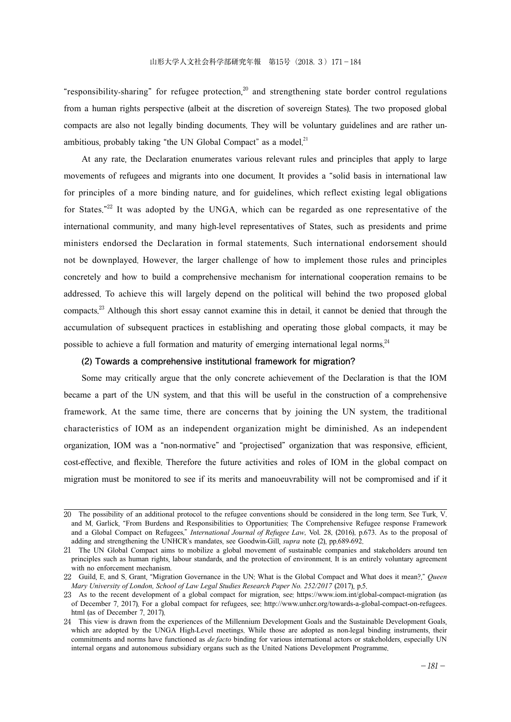"responsibility-sharing" for refugee protection, <sup>20</sup> and strengthening state border control regulations from a human rights perspective (albeit at the discretion of sovereign States). The two proposed global compacts are also not legally binding documents. They will be voluntary guidelines and are rather unambitious, probably taking "the UN Global Compact" as a model.<sup>21</sup>

At any rate, the Declaration enumerates various relevant rules and principles that apply to large movements of refugees and migrants into one document. It provides a "solid basis in international law for principles of a more binding nature, and for guidelines, which reflect existing legal obligations for States."<sup>22</sup> It was adopted by the UNGA, which can be regarded as one representative of the international community, and many high-level representatives of States, such as presidents and prime ministers endorsed the Declaration in formal statements. Such international endorsement should not be downplayed. However, the larger challenge of how to implement those rules and principles concretely and how to build a comprehensive mechanism for international cooperation remains to be addressed. To achieve this will largely depend on the political will behind the two proposed global compacts.<sup>23</sup> Although this short essay cannot examine this in detail, it cannot be denied that through the accumulation of subsequent practices in establishing and operating those global compacts, it may be possible to achieve a full formation and maturity of emerging international legal norms.<sup>24</sup>

## **(2) Towards a comprehensive institutional framework for migration?**

Some may critically argue that the only concrete achievement of the Declaration is that the IOM became a part of the UN system, and that this will be useful in the construction of a comprehensive framework. At the same time, there are concerns that by joining the UN system, the traditional characteristics of IOM as an independent organization might be diminished. As an independent organization, IOM was a "non-normative" and "projectised" organization that was responsive, efficient, cost-effective, and flexible. Therefore the future activities and roles of IOM in the global compact on migration must be monitored to see if its merits and manoeuvrability will not be compromised and if it

<sup>20</sup> The possibility of an additional protocol to the refugee conventions should be considered in the long term. See Turk, V. and M. Garlick, "From Burdens and Responsibilities to Opportunities: The Comprehensive Refugee response Framework and a Global Compact on Refugees," *International Journal of Refugee Law*, Vol. 28, (2016), p.673. As to the proposal of adding and strengthening the UNHCR's mandates, see Goodwin-Gill, *supra* note (2), pp.689-692.

<sup>21</sup> The UN Global Compact aims to mobilize a global movement of sustainable companies and stakeholders around ten principles such as human rights, labour standards, and the protection of environment. It is an entirely voluntary agreement with no enforcement mechanism.

<sup>22</sup> Guild, E. and S. Grant, "Migration Governance in the UN: What is the Global Compact and What does it mean?," *Queen Mary University of London, School of Law Legal Studies Research Paper No. 252/2017* (2017), p.5.

<sup>23</sup> As to the recent development of a global compact for migration, see: https://www.iom.int/global-compact-migration (as of December 7, 2017). For a global compact for refugees, see: http://www.unhcr.org/towards-a-global-compact-on-refugees. html (as of December 7, 2017).

<sup>24</sup> This view is drawn from the experiences of the Millennium Development Goals and the Sustainable Development Goals, which are adopted by the UNGA High-Level meetings. While those are adopted as non-legal binding instruments, their commitments and norms have functioned as *de facto* binding for various international actors or stakeholders, especially UN internal organs and autonomous subsidiary organs such as the United Nations Development Programme.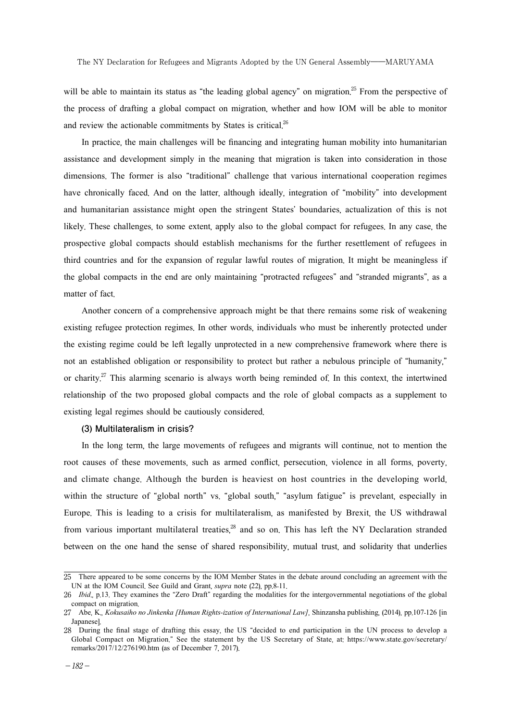will be able to maintain its status as "the leading global agency" on migration.<sup>25</sup> From the perspective of the process of drafting a global compact on migration, whether and how IOM will be able to monitor and review the actionable commitments by States is critical. $26$ 

In practice, the main challenges will be financing and integrating human mobility into humanitarian assistance and development simply in the meaning that migration is taken into consideration in those dimensions. The former is also "traditional" challenge that various international cooperation regimes have chronically faced. And on the latter, although ideally, integration of "mobility" into development and humanitarian assistance might open the stringent States' boundaries, actualization of this is not likely. These challenges, to some extent, apply also to the global compact for refugees. In any case, the prospective global compacts should establish mechanisms for the further resettlement of refugees in third countries and for the expansion of regular lawful routes of migration. It might be meaningless if the global compacts in the end are only maintaining "protracted refugees" and "stranded migrants", as a matter of fact.

Another concern of a comprehensive approach might be that there remains some risk of weakening existing refugee protection regimes. In other words, individuals who must be inherently protected under the existing regime could be left legally unprotected in a new comprehensive framework where there is not an established obligation or responsibility to protect but rather a nebulous principle of "humanity," or charity.<sup>27</sup> This alarming scenario is always worth being reminded of. In this context, the intertwined relationship of the two proposed global compacts and the role of global compacts as a supplement to existing legal regimes should be cautiously considered.

### **(3) Multilateralism in crisis?**

In the long term, the large movements of refugees and migrants will continue, not to mention the root causes of these movements, such as armed conflict, persecution, violence in all forms, poverty, and climate change. Although the burden is heaviest on host countries in the developing world, within the structure of "global north" vs. "global south," "asylum fatigue" is prevelant, especially in Europe. This is leading to a crisis for multilateralism, as manifested by Brexit, the US withdrawal from various important multilateral treaties,<sup>28</sup> and so on. This has left the NY Declaration stranded between on the one hand the sense of shared responsibility, mutual trust, and solidarity that underlies

<sup>25</sup> There appeared to be some concerns by the IOM Member States in the debate around concluding an agreement with the UN at the IOM Council. See Guild and Grant, *supra* note (22), pp.8-11.

<sup>26</sup> *Ibid*., p.13. They examines the "Zero Draft" regarding the modalities for the intergovernmental negotiations of the global compact on migration.

<sup>27</sup> Abe, K., *Kokusaiho no Jinkenka [Human Rights-ization of International Law]*, Shinzansha publishing, (2014), pp.107-126 [in **Japanesel** 

<sup>28</sup> During the final stage of drafting this essay, the US "decided to end participation in the UN process to develop a Global Compact on Migration." See the statement by the US Secretary of State, at: https://www.state.gov/secretary/ remarks/2017/12/276190.htm (as of December 7, 2017).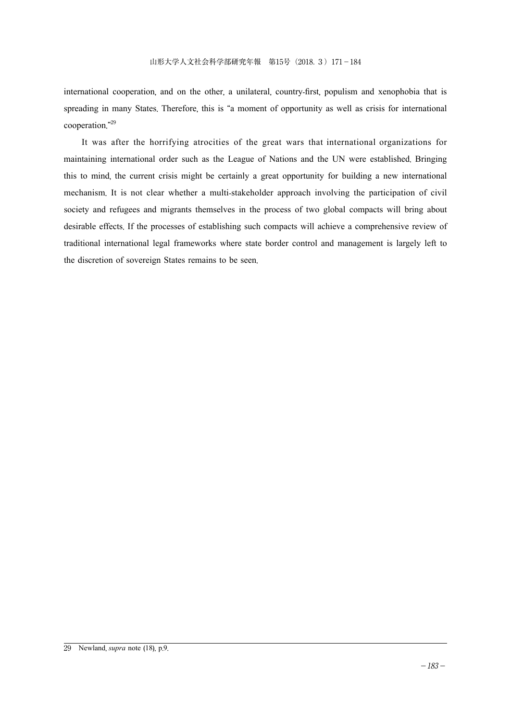international cooperation, and on the other, a unilateral, country-first, populism and xenophobia that is spreading in many States. Therefore, this is "a moment of opportunity as well as crisis for international cooperation."29

It was after the horrifying atrocities of the great wars that international organizations for maintaining international order such as the League of Nations and the UN were established. Bringing this to mind, the current crisis might be certainly a great opportunity for building a new international mechanism. It is not clear whether a multi-stakeholder approach involving the participation of civil society and refugees and migrants themselves in the process of two global compacts will bring about desirable effects. If the processes of establishing such compacts will achieve a comprehensive review of traditional international legal frameworks where state border control and management is largely left to the discretion of sovereign States remains to be seen.